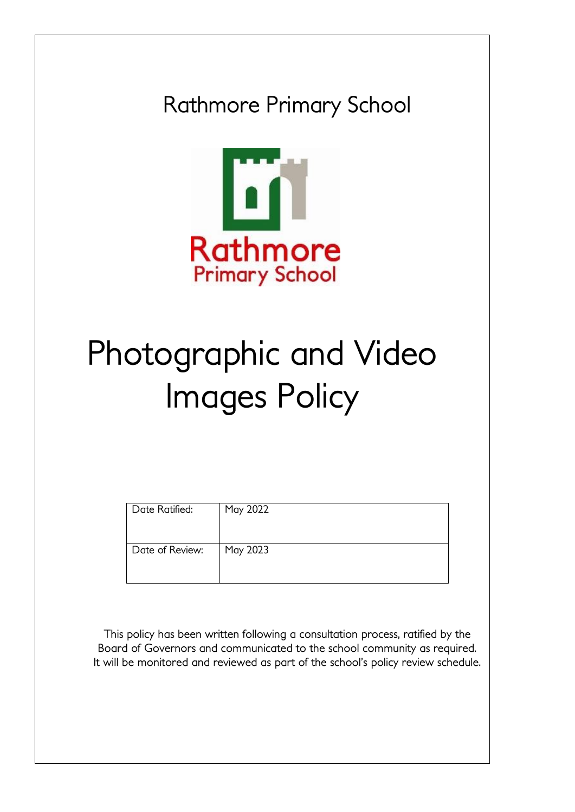Rathmore Primary School



# Photographic and Video Images Policy

| Date Ratified:  | May 2022 |
|-----------------|----------|
| Date of Review: | May 2023 |

This policy has been written following a consultation process, ratified by the Board of Governors and communicated to the school community as required. It will be monitored and reviewed as part of the school's policy review schedule.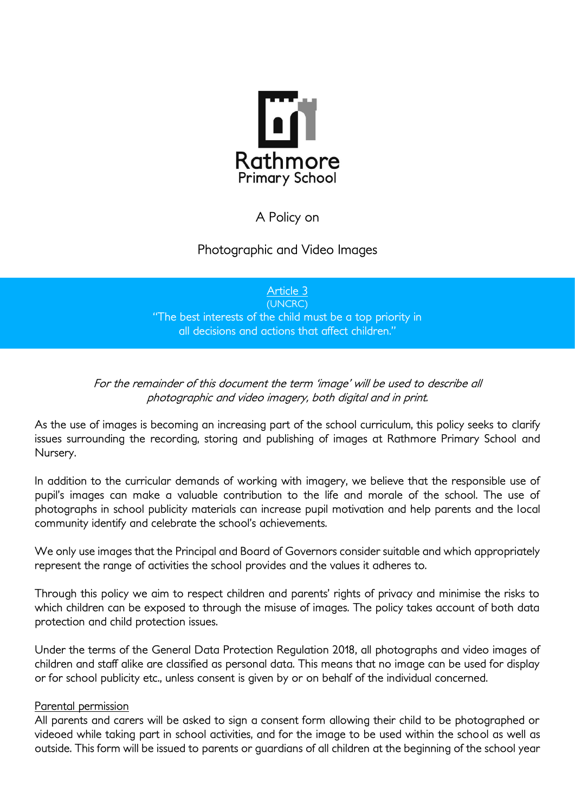

## A Policy on

Photographic and Video Images

Article 3 (UNCRC) "The best interests of the child must be a top priority in all decisions and actions that affect children."

## For the remainder of this document the term 'image' will be used to describe all photographic and video imagery, both digital and in print.

As the use of images is becoming an increasing part of the school curriculum, this policy seeks to clarify issues surrounding the recording, storing and publishing of images at Rathmore Primary School and Nursery.

In addition to the curricular demands of working with imagery, we believe that the responsible use of pupil's images can make a valuable contribution to the life and morale of the school. The use of photographs in school publicity materials can increase pupil motivation and help parents and the local community identify and celebrate the school's achievements.

We only use images that the Principal and Board of Governors consider suitable and which appropriately represent the range of activities the school provides and the values it adheres to.

Through this policy we aim to respect children and parents' rights of privacy and minimise the risks to which children can be exposed to through the misuse of images. The policy takes account of both data protection and child protection issues.

Under the terms of the General Data Protection Regulation 2018, all photographs and video images of children and staff alike are classified as personal data. This means that no image can be used for display or for school publicity etc., unless consent is given by or on behalf of the individual concerned.

## Parental permission

All parents and carers will be asked to sign a consent form allowing their child to be photographed or videoed while taking part in school activities, and for the image to be used within the school as well as outside. This form will be issued to parents or guardians of all children at the beginning of the school year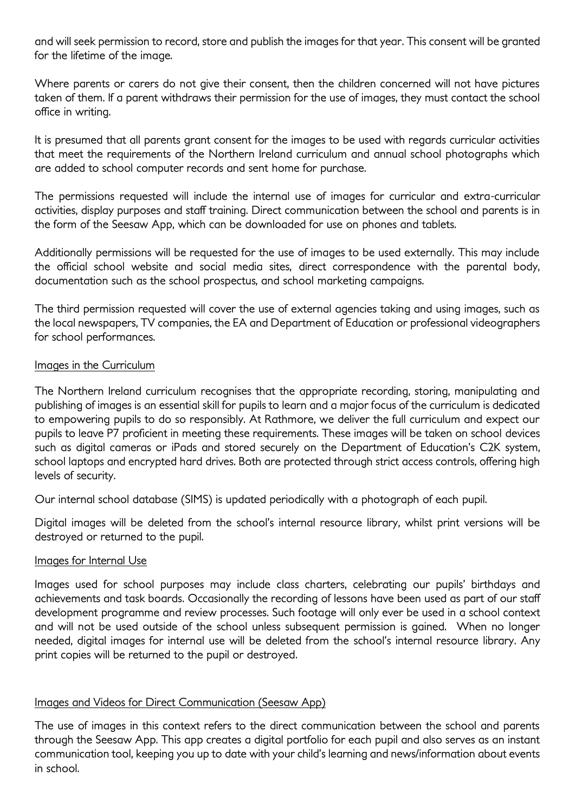and will seek permission to record, store and publish the images for that year. This consent will be granted for the lifetime of the image.

Where parents or carers do not give their consent, then the children concerned will not have pictures taken of them. If a parent withdraws their permission for the use of images, they must contact the school office in writing.

It is presumed that all parents grant consent for the images to be used with regards curricular activities that meet the requirements of the Northern Ireland curriculum and annual school photographs which are added to school computer records and sent home for purchase.

The permissions requested will include the internal use of images for curricular and extra-curricular activities, display purposes and staff training. Direct communication between the school and parents is in the form of the Seesaw App, which can be downloaded for use on phones and tablets.

Additionally permissions will be requested for the use of images to be used externally. This may include the official school website and social media sites, direct correspondence with the parental body, documentation such as the school prospectus, and school marketing campaigns.

The third permission requested will cover the use of external agencies taking and using images, such as the local newspapers, TV companies, the EA and Department of Education or professional videographers for school performances.

#### Images in the Curriculum

The Northern Ireland curriculum recognises that the appropriate recording, storing, manipulating and publishing of images is an essential skill for pupils to learn and a major focus of the curriculum is dedicated to empowering pupils to do so responsibly. At Rathmore, we deliver the full curriculum and expect our pupils to leave P7 proficient in meeting these requirements. These images will be taken on school devices such as digital cameras or iPads and stored securely on the Department of Education's C2K system, school laptops and encrypted hard drives. Both are protected through strict access controls, offering high levels of security.

Our internal school database (SIMS) is updated periodically with a photograph of each pupil.

Digital images will be deleted from the school's internal resource library, whilst print versions will be destroyed or returned to the pupil.

#### Images for Internal Use

Images used for school purposes may include class charters, celebrating our pupils' birthdays and achievements and task boards. Occasionally the recording of lessons have been used as part of our staff development programme and review processes. Such footage will only ever be used in a school context and will not be used outside of the school unless subsequent permission is gained. When no longer needed, digital images for internal use will be deleted from the school's internal resource library. Any print copies will be returned to the pupil or destroyed.

## Images and Videos for Direct Communication (Seesaw App)

The use of images in this context refers to the direct communication between the school and parents through the Seesaw App. This app creates a digital portfolio for each pupil and also serves as an instant communication tool, keeping you up to date with your child's learning and news/information about events in school.